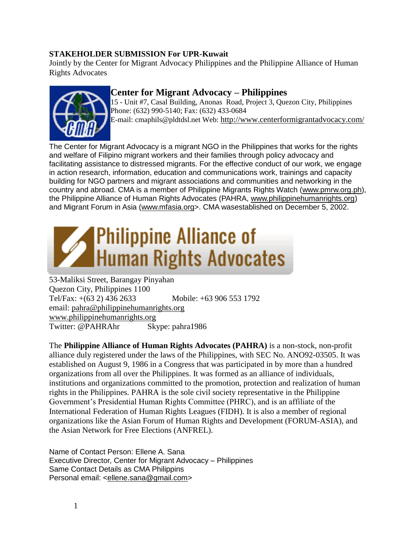### **STAKEHOLDER SUBMISSION For UPR-Kuwait**

Jointly by the Center for Migrant Advocacy Philippines and the Philippine Alliance of Human Rights Advocates



# **Center for Migrant Advocacy – Philippines**

15 - Unit #7, Casal Building, Anonas Road, Project 3, Quezon City, Philippines Phone: (632) 990-5140; Fax: (632) 433-0684

E-mail: cmaphils@pldtdsl.net Web: [http://www.centerformigrantadvocacy.com/](http://www.pinoy-abroad.net/lungga/index.shtml?apc=----1-)

The Center for Migrant Advocacy is a migrant NGO in the Philippines that works for the rights and welfare of Filipino migrant workers and their families through policy advocacy and facilitating assistance to distressed migrants. For the effective conduct of our work, we engage in action research, information, education and communications work, trainings and capacity building for NGO partners and migrant associations and communities and networking in the country and abroad. CMA is a member of Philippine Migrants Rights Watch [\(www.pmrw.org.ph\)](http://www.pmrw.org.ph/), the Philippine Alliance of Human Rights Advocates (PAHRA, [www.philippinehumanrights.org\)](http://www.philippinehumanrights.org/) and Migrant Forum in Asia [\(www.mfasia.org>](http://www.mfasia.org/). CMA wasestablished on December 5, 2002.



53-Maliksi Street, Barangay Pinyahan Quezon City, Philippines 1100 Tel/Fax: +(63 2) 436 2633 Mobile: +63 906 553 1792 email: [pahra@philippinehumanrights.org](mailto:pahra@philippinehumanrights.org) [www.philippinehumanrights.org](http://www.philippinehumanrights.org/) Twitter: @PAHRAhr Skype: pahra1986

The **Philippine Alliance of Human Rights Advocates (PAHRA)** is a non-stock, non-profit alliance duly registered under the laws of the Philippines, with SEC No. ANO92-03505. It was established on August 9, 1986 in a Congress that was participated in by more than a hundred organizations from all over the Philippines. It was formed as an alliance of individuals, institutions and organizations committed to the promotion, protection and realization of human rights in the Philippines. PAHRA is the sole civil society representative in the Philippine Government's Presidential Human Rights Committee (PHRC), and is an affiliate of the International Federation of Human Rights Leagues (FIDH). It is also a member of regional organizations like the Asian Forum of Human Rights and Development (FORUM-ASIA), and the Asian Network for Free Elections (ANFREL).

Name of Contact Person: Ellene A. Sana Executive Director, Center for Migrant Advocacy – Philippines Same Contact Details as CMA Philippins Personal email: [<ellene.sana@gmail.com>](mailto:ellenesana@yahoo.com)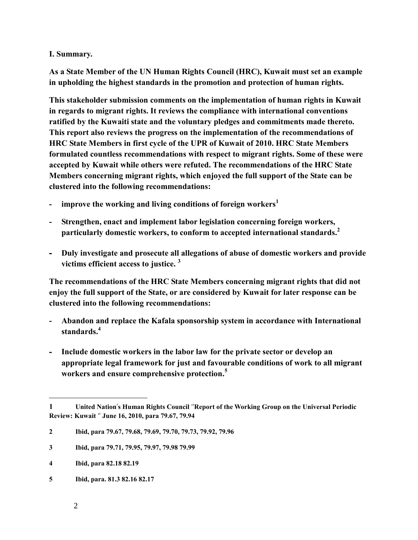### **I. Summary.**

**As a State Member of the UN Human Rights Council (HRC), Kuwait must set an example in upholding the highest standards in the promotion and protection of human rights.** 

**This stakeholder submission comments on the implementation of human rights in Kuwait in regards to migrant rights. It reviews the compliance with international conventions ratified by the Kuwaiti state and the voluntary pledges and commitments made thereto. This report also reviews the progress on the implementation of the recommendations of HRC State Members in first cycle of the UPR of Kuwait of 2010. HRC State Members formulated countless recommendations with respect to migrant rights. Some of these were accepted by Kuwait while others were refuted. The recommendations of the HRC State Members concerning migrant rights, which enjoyed the full support of the State can be clustered into the following recommendations:**

- **- improve the working and living conditions of foreign workers<sup>1</sup>**
- **- Strengthen, enact and implement labor legislation concerning foreign workers, particularly domestic workers, to conform to accepted international standards.<sup>2</sup>**
- **Duly investigate and prosecute all allegations of abuse of domestic workers and provide victims efficient access to justice. <sup>3</sup>**

**The recommendations of the HRC State Members concerning migrant rights that did not enjoy the full support of the State, or are considered by Kuwait for later response can be clustered into the following recommendations:**

- **- Abandon and replace the Kafala sponsorship system in accordance with International standards.<sup>4</sup>**
- **Include domestic workers in the labor law for the private sector or develop an appropriate legal framework for just and favourable conditions of work to all migrant workers and ensure comprehensive protection.<sup>5</sup>**

**5 Ibid, para. 81.3 82.16 82.17** 

**<sup>1</sup> United Nation**'**s Human Rights Council** ''**Report of the Working Group on the Universal Periodic Review: Kuwait** '' **June 16, 2010, para 79.67, 79.94**

**<sup>2</sup> Ibid, para 79.67, 79.68, 79.69, 79.70, 79.73, 79.92, 79.96**

**<sup>3</sup> Ibid, para 79.71, 79.95, 79.97, 79.98 79.99**

**<sup>4</sup> Ibid, para 82.18 82.19**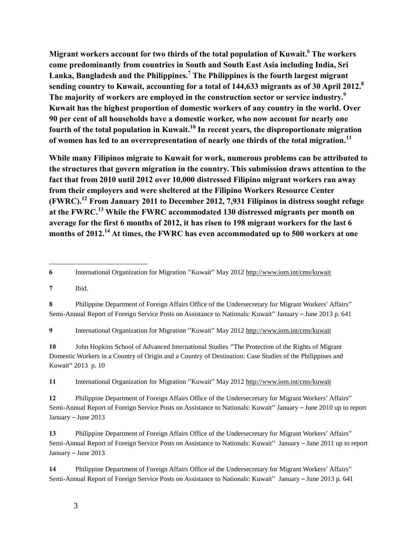**Migrant workers account for two thirds of the total population of Kuwait.<sup>6</sup> The workers come predominantly from countries in South and South East Asia including India, Sri Lanka, Bangladesh and the Philippines.<sup>7</sup> The Philippines is the fourth largest migrant sending country to Kuwait, accounting for a total of 144,633 migrants as of 30 April 2012.<sup>8</sup> The majority of workers are employed in the construction sector or service industry.<sup>9</sup> Kuwait has the highest proportion of domestic workers of any country in the world. Over 90 per cent of all households have a domestic worker, who now account for nearly one fourth of the total population in Kuwait.<sup>10</sup> In recent years, the disproportionate migration of women has led to an overrepresentation of nearly one thirds of the total migration.<sup>11</sup>**

**While many Filipinos migrate to Kuwait for work, numerous problems can be attributed to the structures that govern migration in the country. This submission draws attention to the fact that from 2010 until 2012 over 10,000 distressed Filipino migrant workers ran away from their employers and were sheltered at the Filipino Workers Resource Center (FWRC).<sup>12</sup> From January 2011 to December 2012, 7,931 Filipinos in distress sought refuge at the FWRC.<sup>13</sup> While the FWRC accommodated 130 distressed migrants per month on average for the first 6 months of 2012, it has risen to 198 migrant workers for the last 6 months of 2012.<sup>14</sup> At times, the FWRC has even accommodated up to 500 workers at one** 

**7** Ibid.

 $\overline{a}$ 

**8** Philippine Department of Foreign Affairs Office of the Undersecretary for Migrant Workers' Affairs'' Semi-Annual Report of Foreign Service Posts on Assistance to Nationals: Kuwait'' January – June 2013 p. 641

**9** International Organization for Migration ''Kuwait'' May 2012<http://www.iom.int/cms/kuwait>

**10** John Hopkins School of Advanced International Studies ''The Protection of the Rights of Migrant Domestic Workers in a Country of Origin and a Country of Destination: Case Studies of the Philippines and Kuwait'' 2013 p. 10

**11** International Organization for Migration ''Kuwait'' May 2012<http://www.iom.int/cms/kuwait>

**12** Philippine Department of Foreign Affairs Office of the Undersecretary for Migrant Workers' Affairs'' Semi-Annual Report of Foreign Service Posts on Assistance to Nationals: Kuwait'' January – June 2010 up to report January – June 2013

**13** Philippine Department of Foreign Affairs Office of the Undersecretary for Migrant Workers' Affairs'' Semi-Annual Report of Foreign Service Posts on Assistance to Nationals: Kuwait'' January – June 2011 up to report January – June 2013

**14** Philippine Department of Foreign Affairs Office of the Undersecretary for Migrant Workers' Affairs'' Semi-Annual Report of Foreign Service Posts on Assistance to Nationals: Kuwait'' January – June 2013 p. 641

**<sup>6</sup>** International Organization for Migration ''Kuwait'' May 2012<http://www.iom.int/cms/kuwait>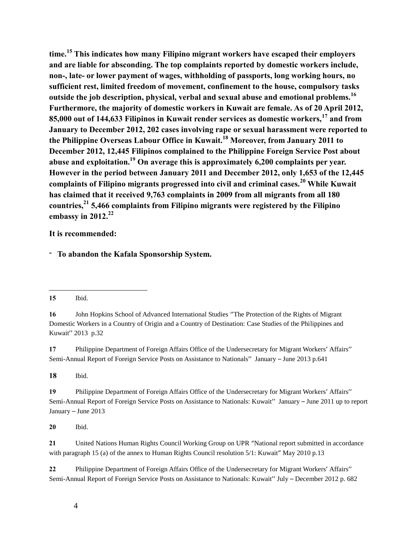**time.<sup>15</sup> This indicates how many Filipino migrant workers have escaped their employers and are liable for absconding. The top complaints reported by domestic workers include, non-, late- or lower payment of wages, withholding of passports, long working hours, no sufficient rest, limited freedom of movement, confinement to the house, compulsory tasks outside the job description, physical, verbal and sexual abuse and emotional problems.<sup>16</sup> Furthermore, the majority of domestic workers in Kuwait are female. As of 20 April 2012, 85,000 out of 144,633 Filipinos in Kuwait render services as domestic workers,<sup>17</sup> and from January to December 2012, 202 cases involving rape or sexual harassment were reported to the Philippine Overseas Labour Office in Kuwait.<sup>18</sup> Moreover, from January 2011 to December 2012, 12,445 Filipinos complained to the Philippine Foreign Service Post about abuse and exploitation.<sup>19</sup> On average this is approximately 6,200 complaints per year. However in the period between January 2011 and December 2012, only 1,653 of the 12,445 complaints of Filipino migrants progressed into civil and criminal cases.<sup>20</sup> While Kuwait has claimed that it received 9,763 complaints in 2009 from all migrants from all 180 countries,<sup>21</sup> 5,466 complaints from Filipino migrants were registered by the Filipino embassy in 2012.<sup>22</sup>**

**It is recommended:**

- **To abandon the Kafala Sponsorship System.** 

 $\overline{a}$ 

**17** Philippine Department of Foreign Affairs Office of the Undersecretary for Migrant Workers' Affairs'' Semi-Annual Report of Foreign Service Posts on Assistance to Nationals'' January – June 2013 p.641

**18** Ibid.

**20** Ibid.

**21** United Nations Human Rights Council Working Group on UPR "National report submitted in accordance with paragraph 15 (a) of the annex to Human Rights Council resolution 5/1: Kuwait" May 2010 p.13

**22** Philippine Department of Foreign Affairs Office of the Undersecretary for Migrant Workers' Affairs'' Semi-Annual Report of Foreign Service Posts on Assistance to Nationals: Kuwait'' July – December 2012 p. 682

**<sup>15</sup>** Ibid.

**<sup>16</sup>** John Hopkins School of Advanced International Studies ''The Protection of the Rights of Migrant Domestic Workers in a Country of Origin and a Country of Destination: Case Studies of the Philippines and Kuwait'' 2013 p.32

**<sup>19</sup>** Philippine Department of Foreign Affairs Office of the Undersecretary for Migrant Workers' Affairs'' Semi-Annual Report of Foreign Service Posts on Assistance to Nationals: Kuwait'' January – June 2011 up to report January – June 2013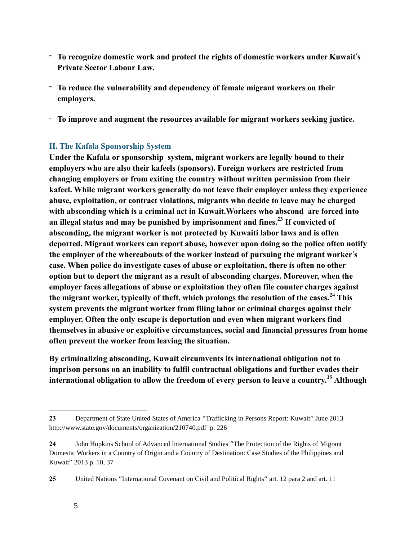- **To recognize domestic work and protect the rights of domestic workers under Kuwait**'**s Private Sector Labour Law.**
- **To reduce the vulnerability and dependency of female migrant workers on their employers.**
- **To improve and augment the resources available for migrant workers seeking justice.**

#### **II. The Kafala Sponsorship System**

**Under the Kafala or sponsorship system, migrant workers are legally bound to their employers who are also their kafeels (sponsors). Foreign workers are restricted from changing employers or from exiting the country without written permission from their kafeel. While migrant workers generally do not leave their employer unless they experience abuse, exploitation, or contract violations, migrants who decide to leave may be charged with absconding which is a criminal act in Kuwait.Workers who abscond are forced into an illegal status and may be punished by imprisonment and fines.<sup>23</sup> If convicted of absconding, the migrant worker is not protected by Kuwaiti labor laws and is often deported. Migrant workers can report abuse, however upon doing so the police often notify the employer of the whereabouts of the worker instead of pursuing the migrant worker**'**s case. When police do investigate cases of abuse or exploitation, there is often no other option but to deport the migrant as a result of absconding charges. Moreover, when the employer faces allegations of abuse or exploitation they often file counter charges against the migrant worker, typically of theft, which prolongs the resolution of the cases.<sup>24</sup> This system prevents the migrant worker from filing labor or criminal charges against their employer. Often the only escape is deportation and even when migrant workers find themselves in abusive or exploitive circumstances, social and financial pressures from home often prevent the worker from leaving the situation.**

**By criminalizing absconding, Kuwait circumvents its international obligation not to imprison persons on an inability to fulfil contractual obligations and further evades their international obligation to allow the freedom of every person to leave a country.<sup>25</sup> Although** 

**<sup>23</sup>** Department of State United States of America ''Trafficking in Persons Report: Kuwait'' June 2013 <http://www.state.gov/documents/organization/210740.pdf>p. 226

**<sup>24</sup>** John Hopkins School of Advanced International Studies ''The Protection of the Rights of Migrant Domestic Workers in a Country of Origin and a Country of Destination: Case Studies of the Philippines and Kuwait'' 2013 p. 10, 37

**<sup>25</sup>** United Nations ''International Covenant on Civil and Political Rights'' art. 12 para 2 and art. 11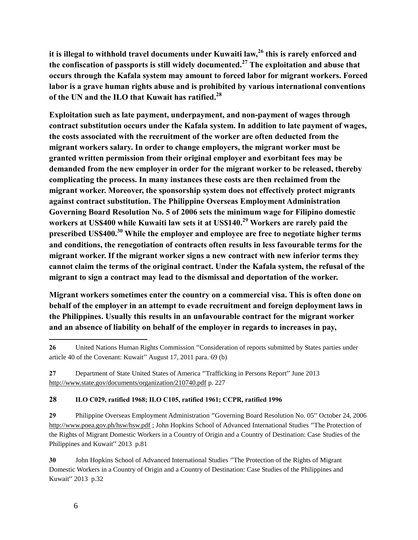**it is illegal to withhold travel documents under Kuwaiti law,<sup>26</sup> this is rarely enforced and the confiscation of passports is still widely documented.<sup>27</sup> The exploitation and abuse that occurs through the Kafala system may amount to forced labor for migrant workers. Forced labor is a grave human rights abuse and is prohibited by various international conventions of the UN and the ILO that Kuwait has ratified.<sup>28</sup>**

**Exploitation such as late payment, underpayment, and non-payment of wages through contract substitution occurs under the Kafala system. In addition to late payment of wages, the costs associated with the recruitment of the worker are often deducted from the migrant workers salary. In order to change employers, the migrant worker must be granted written permission from their original employer and exorbitant fees may be demanded from the new employer in order for the migrant worker to be released, thereby complicating the process. In many instances these costs are then reclaimed from the migrant worker. Moreover, the sponsorship system does not effectively protect migrants against contract substitution. The Philippine Overseas Employment Administration Governing Board Resolution No. 5 of 2006 sets the minimum wage for Filipino domestic workers at US\$400 while Kuwaiti law sets it at US\$140.<sup>29</sup> Workers are rarely paid the prescribed US\$400.<sup>30</sup> While the employer and employee are free to negotiate higher terms and conditions, the renegotiation of contracts often results in less favourable terms for the migrant worker. If the migrant worker signs a new contract with new inferior terms they cannot claim the terms of the original contract. Under the Kafala system, the refusal of the migrant to sign a contract may lead to the dismissal and deportation of the worker.**

**Migrant workers sometimes enter the country on a commercial visa. This is often done on behalf of the employer in an attempt to evade recruitment and foreign deployment laws in the Philippines. Usually this results in an unfavourable contract for the migrant worker and an absence of liability on behalf of the employer in regards to increases in pay,** 

#### **28 ILO C029, ratified 1968; ILO C105, ratified 1961; CCPR, ratified 1996**

29 Philippine Overseas Employment Administration "Governing Board Resolution No. 05" October 24, 2006 <http://www.poea.gov.ph/hsw/hsw.pdf> ; John Hopkins School of Advanced International Studies ''The Protection of the Rights of Migrant Domestic Workers in a Country of Origin and a Country of Destination: Case Studies of the Philippines and Kuwait'' 2013 p.81

**30** John Hopkins School of Advanced International Studies ''The Protection of the Rights of Migrant Domestic Workers in a Country of Origin and a Country of Destination: Case Studies of the Philippines and Kuwait'' 2013 p.32

<sup>26</sup> United Nations Human Rights Commission "Consideration of reports submitted by States parties under article 40 of the Covenant: Kuwait'' August 17, 2011 para. 69 (b)

**<sup>27</sup>** Department of State United States of America ''Trafficking in Persons Report'' June 2013 <http://www.state.gov/documents/organization/210740.pdf> p. 227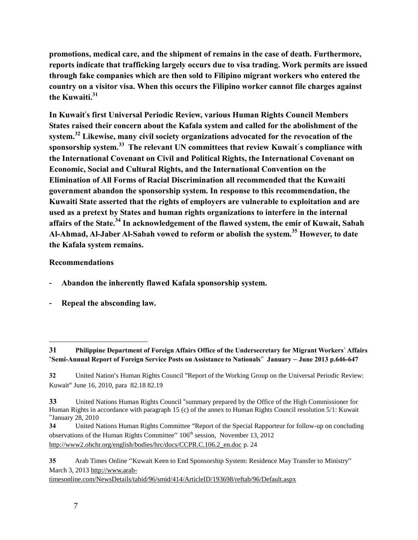**promotions, medical care, and the shipment of remains in the case of death. Furthermore, reports indicate that trafficking largely occurs due to visa trading. Work permits are issued through fake companies which are then sold to Filipino migrant workers who entered the country on a visitor visa. When this occurs the Filipino worker cannot file charges against the Kuwaiti.<sup>31</sup>**

**In Kuwait**'**s first Universal Periodic Review, various Human Rights Council Members States raised their concern about the Kafala system and called for the abolishment of the system.<sup>32</sup> Likewise, many civil society organizations advocated for the revocation of the sponsorship system.<sup>33</sup> The relevant UN committees that review Kuwait**´**s compliance with the International Covenant on Civil and Political Rights, the International Covenant on Economic, Social and Cultural Rights, and the International Convention on the Elimination of All Forms of Racial Discrimination all recommended that the Kuwaiti government abandon the sponsorship system. In response to this recommendation, the Kuwaiti State asserted that the rights of employers are vulnerable to exploitation and are used as a pretext by States and human rights organizations to interfere in the internal affairs of the State.<sup>34</sup> In acknowledgement of the flawed system, the emir of Kuwait, Sabah Al-Ahmad, Al-Jaber Al-Sabah vowed to reform or abolish the system.<sup>35</sup> However, to date the Kafala system remains.**

#### **Recommendations**

 $\overline{a}$ 

- **Abandon the inherently flawed Kafala sponsorship system.**
- **Repeal the absconding law.**

**34** United Nations Human Rights Committee "Report of the Special Rapporteur for follow-up on concluding observations of the Human Rights Committee"  $106<sup>th</sup>$  session, November 13, 2012 [http://www2.ohchr.org/english/bodies/hrc/docs/CCPR.C.106.2\\_en.doc](http://www2.ohchr.org/english/bodies/hrc/docs/CCPR.C.106.2_en.doc) p. 24

[timesonline.com/NewsDetails/tabid/96/smid/414/ArticleID/193698/reftab/96/Default.aspx](http://www.arab-timesonline.com/newsdetails/tabid/96/smid/414/articleid/193698/reftab/96/default.aspx)

**<sup>31</sup> Philippine Department of Foreign Affairs Office of the Undersecretary for Migrant Workers**' **Affairs**  "**Semi-Annual Report of Foreign Service Posts on Assistance to Nationals**'' **January** – **June 2013 p.646-647**

**<sup>32</sup>** United Nation's Human Rights Council "Report of the Working Group on the Universal Periodic Review: Kuwait" June 16, 2010, para 82.18 82.19

**<sup>33</sup>** United Nations Human Rights Council "summary prepared by the Office of the High Commissioner for Human Rights in accordance with paragraph 15 (c) of the annex to Human Rights Council resolution 5/1: Kuwait ''January 28, 2010

**<sup>35</sup>** Arab Times Online ''Kuwait Keen to End Sponsorship System: Residence May Transfer to Ministry'' March 3, 2013 [http://www.arab-](http://www.arab-timesonline.com/newsdetails/tabid/96/smid/414/articleid/193698/reftab/96/default.aspx)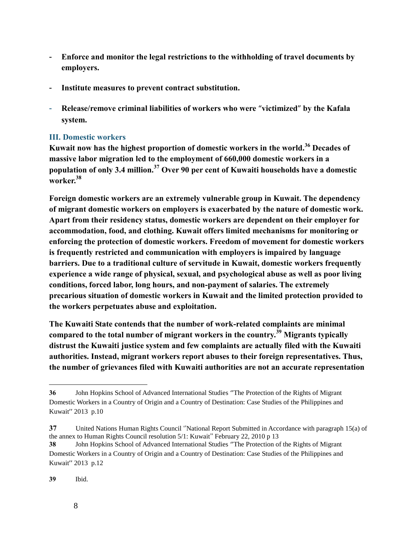- **Enforce and monitor the legal restrictions to the withholding of travel documents by employers.**
- **Institute measures to prevent contract substitution.**
- **Release/remove criminal liabilities of workers who were** "**victimized**" **by the Kafala system.**

#### **III. Domestic workers**

**Kuwait now has the highest proportion of domestic workers in the world.<sup>36</sup> Decades of massive labor migration led to the employment of 660,000 domestic workers in a population of only 3.4 million.<sup>37</sup> Over 90 per cent of Kuwaiti households have a domestic worker.<sup>38</sup>**

**Foreign domestic workers are an extremely vulnerable group in Kuwait. The dependency of migrant domestic workers on employers is exacerbated by the nature of domestic work. Apart from their residency status, domestic workers are dependent on their employer for accommodation, food, and clothing. Kuwait offers limited mechanisms for monitoring or enforcing the protection of domestic workers. Freedom of movement for domestic workers is frequently restricted and communication with employers is impaired by language barriers. Due to a traditional culture of servitude in Kuwait, domestic workers frequently experience a wide range of physical, sexual, and psychological abuse as well as poor living conditions, forced labor, long hours, and non-payment of salaries. The extremely precarious situation of domestic workers in Kuwait and the limited protection provided to the workers perpetuates abuse and exploitation.**

**The Kuwaiti State contends that the number of work-related complaints are minimal compared to the total number of migrant workers in the country.<sup>39</sup> Migrants typically distrust the Kuwaiti justice system and few complaints are actually filed with the Kuwaiti authorities. Instead, migrant workers report abuses to their foreign representatives. Thus, the number of grievances filed with Kuwaiti authorities are not an accurate representation** 

**<sup>36</sup>** John Hopkins School of Advanced International Studies ''The Protection of the Rights of Migrant Domestic Workers in a Country of Origin and a Country of Destination: Case Studies of the Philippines and Kuwait'' 2013 p.10

**<sup>37</sup>** United Nations Human Rights Council ''National Report Submitted in Accordance with paragraph 15(a) of the annex to Human Rights Council resolution 5/1: Kuwait'' February 22, 2010 p 13

**<sup>38</sup>** John Hopkins School of Advanced International Studies ''The Protection of the Rights of Migrant Domestic Workers in a Country of Origin and a Country of Destination: Case Studies of the Philippines and Kuwait'' 2013 p.12

**<sup>39</sup>** Ibid.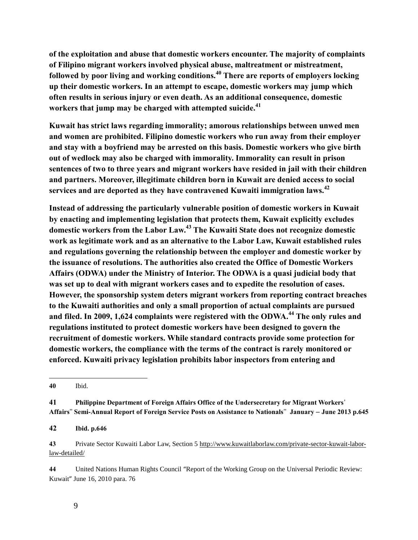**of the exploitation and abuse that domestic workers encounter. The majority of complaints of Filipino migrant workers involved physical abuse, maltreatment or mistreatment, followed by poor living and working conditions.<sup>40</sup> There are reports of employers locking up their domestic workers. In an attempt to escape, domestic workers may jump which often results in serious injury or even death. As an additional consequence, domestic workers that jump may be charged with attempted suicide.<sup>41</sup>**

**Kuwait has strict laws regarding immorality; amorous relationships between unwed men and women are prohibited. Filipino domestic workers who run away from their employer and stay with a boyfriend may be arrested on this basis. Domestic workers who give birth out of wedlock may also be charged with immorality. Immorality can result in prison sentences of two to three years and migrant workers have resided in jail with their children and partners. Moreover, illegitimate children born in Kuwait are denied access to social services and are deported as they have contravened Kuwaiti immigration laws.<sup>42</sup>**

**Instead of addressing the particularly vulnerable position of domestic workers in Kuwait by enacting and implementing legislation that protects them, Kuwait explicitly excludes domestic workers from the Labor Law.<sup>43</sup> The Kuwaiti State does not recognize domestic work as legitimate work and as an alternative to the Labor Law, Kuwait established rules and regulations governing the relationship between the employer and domestic worker by the issuance of resolutions. The authorities also created the Office of Domestic Workers Affairs (ODWA) under the Ministry of Interior. The ODWA is a quasi judicial body that was set up to deal with migrant workers cases and to expedite the resolution of cases. However, the sponsorship system deters migrant workers from reporting contract breaches to the Kuwaiti authorities and only a small proportion of actual complaints are pursued and filed. In 2009, 1,624 complaints were registered with the ODWA.<sup>44</sup> The only rules and regulations instituted to protect domestic workers have been designed to govern the recruitment of domestic workers. While standard contracts provide some protection for domestic workers, the compliance with the terms of the contract is rarely monitored or enforced. Kuwaiti privacy legislation prohibits labor inspectors from entering and** 

 $\overline{a}$ 

**42 Ibid. p.646**

**<sup>40</sup>** Ibid.

**<sup>41</sup> Philippine Department of Foreign Affairs Office of the Undersecretary for Migrant Workers**' **Affairs**'' **Semi-Annual Report of Foreign Service Posts on Assistance to Nationals**'' **January** – **June 2013 p.645**

**<sup>43</sup>** Private Sector Kuwaiti Labor Law, Section 5 [http://www.kuwaitlaborlaw.com/private-sector-kuwait-labor](http://www.kuwaitlaborlaw.com/private-sector-kuwait-labor-law-detailed/)[law-detailed/](http://www.kuwaitlaborlaw.com/private-sector-kuwait-labor-law-detailed/)

**<sup>44</sup>** United Nations Human Rights Council "Report of the Working Group on the Universal Periodic Review: Kuwait" June 16, 2010 para. 76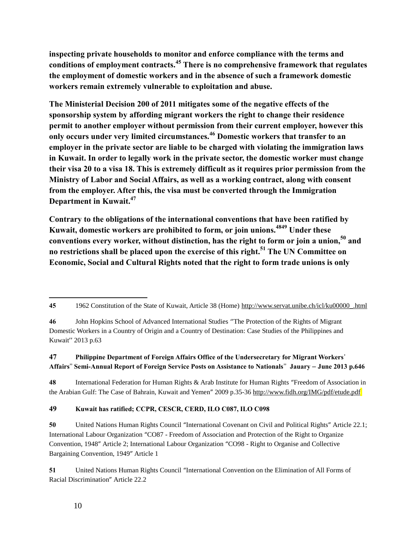**inspecting private households to monitor and enforce compliance with the terms and conditions of employment contracts.<sup>45</sup> There is no comprehensive framework that regulates the employment of domestic workers and in the absence of such a framework domestic workers remain extremely vulnerable to exploitation and abuse.**

**The Ministerial Decision 200 of 2011 mitigates some of the negative effects of the sponsorship system by affording migrant workers the right to change their residence permit to another employer without permission from their current employer, however this only occurs under very limited circumstances.<sup>46</sup> Domestic workers that transfer to an employer in the private sector are liable to be charged with violating the immigration laws in Kuwait. In order to legally work in the private sector, the domestic worker must change their visa 20 to a visa 18. This is extremely difficult as it requires prior permission from the Ministry of Labor and Social Affairs, as well as a working contract, along with consent from the employer. After this, the visa must be converted through the Immigration Department in Kuwait.<sup>47</sup>**

**Contrary to the obligations of the international conventions that have been ratified by Kuwait, domestic workers are prohibited to form, or join unions.<sup>4849</sup> Under these conventions every worker, without distinction, has the right to form or join a union,<sup>50</sup> and no restrictions shall be placed upon the exercise of this right.<sup>51</sup> The UN Committee on Economic, Social and Cultural Rights noted that the right to form trade unions is only** 

## **47 Philippine Department of Foreign Affairs Office of the Undersecretary for Migrant Workers**' **Affairs**'' **Semi-Annual Report of Foreign Service Posts on Assistance to Nationals**'' **Jauary** – **June 2013 p.646**

**48** International Federation for Human Rights & Arab Institute for Human Rights "Freedom of Association in the Arabian Gulf: The Case of Bahrain, Kuwait and Yemen" 2009 p.35-3[6 http://www.fidh.org/IMG/pdf/etude.pdf](http://www.fidh.org/img/pdf/etude.pdf)

#### **49 Kuwait has ratified; CCPR, CESCR, CERD, ILO C087, ILO C098**

**50** United Nations Human Rights Council "International Covenant on Civil and Political Rights" Article 22.1; International Labour Organization "CO87 - Freedom of Association and Protection of the Right to Organize Convention, 1948" Article 2; International Labour Organization "CO98 - Right to Organise and Collective Bargaining Convention, 1949" Article 1

**51** United Nations Human Rights Council "International Convention on the Elimination of All Forms of Racial Discrimination" Article 22.2

**<sup>45</sup>** 1962 Constitution of the State of Kuwait, Article 38 (Home) [http://www.servat.unibe.ch/icl/ku00000\\_.html](http://www.servat.unibe.ch/icl/ku00000_.html)

**<sup>46</sup>** John Hopkins School of Advanced International Studies ''The Protection of the Rights of Migrant Domestic Workers in a Country of Origin and a Country of Destination: Case Studies of the Philippines and Kuwait'' 2013 p.63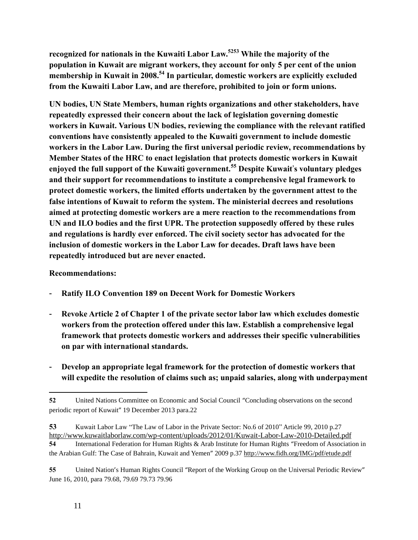**recognized for nationals in the Kuwaiti Labor Law.<sup>5253</sup> While the majority of the population in Kuwait are migrant workers, they account for only 5 per cent of the union membership in Kuwait in 2008.<sup>54</sup> In particular, domestic workers are explicitly excluded from the Kuwaiti Labor Law, and are therefore, prohibited to join or form unions.**

**UN bodies, UN State Members, human rights organizations and other stakeholders, have repeatedly expressed their concern about the lack of legislation governing domestic workers in Kuwait. Various UN bodies, reviewing the compliance with the relevant ratified conventions have consistently appealed to the Kuwaiti government to include domestic workers in the Labor Law. During the first universal periodic review, recommendations by Member States of the HRC to enact legislation that protects domestic workers in Kuwait enjoyed the full support of the Kuwaiti government.<sup>55</sup> Despite Kuwait**'**s voluntary pledges and their support for recommendations to institute a comprehensive legal framework to protect domestic workers, the limited efforts undertaken by the government attest to the false intentions of Kuwait to reform the system. The ministerial decrees and resolutions aimed at protecting domestic workers are a mere reaction to the recommendations from UN and ILO bodies and the first UPR. The protection supposedly offered by these rules and regulations is hardly ever enforced. The civil society sector has advocated for the inclusion of domestic workers in the Labor Law for decades. Draft laws have been repeatedly introduced but are never enacted.**

#### **Recommendations:**

- **Ratify ILO Convention 189 on Decent Work for Domestic Workers**
- **Revoke Article 2 of Chapter 1 of the private sector labor law which excludes domestic workers from the protection offered under this law. Establish a comprehensive legal framework that protects domestic workers and addresses their specific vulnerabilities on par with international standards.**
- **Develop an appropriate legal framework for the protection of domestic workers that will expedite the resolution of claims such as; unpaid salaries, along with underpayment**

**<sup>52</sup>** United Nations Committee on Economic and Social Council "Concluding observations on the second periodic report of Kuwait" 19 December 2013 para.22

**<sup>53</sup>** Kuwait Labor Law "The Law of Labor in the Private Sector: No.6 of 2010" Article 99, 2010 p.27 <http://www.kuwaitlaborlaw.com/wp-content/uploads/2012/01/Kuwait-Labor-Law-2010-Detailed.pdf>

**<sup>54</sup>** International Federation for Human Rights & Arab Institute for Human Rights "Freedom of Association in the Arabian Gulf: The Case of Bahrain, Kuwait and Yemen" 2009 p.37 [http://www.fidh.org/IMG/pdf/etude.pdf](http://www.fidh.org/img/pdf/etude.pdf)

**<sup>55</sup>** United Nation's Human Rights Council "Report of the Working Group on the Universal Periodic Review" June 16, 2010, para 79.68, 79.69 79.73 79.96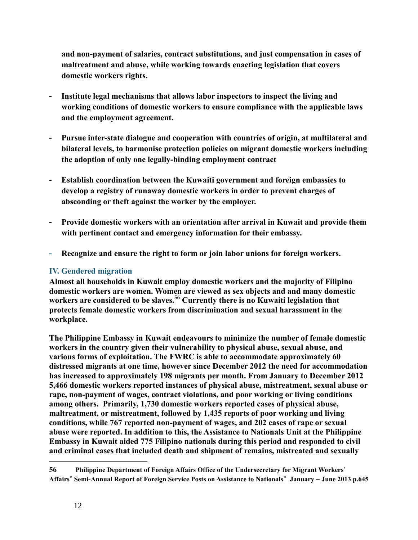**and non-payment of salaries, contract substitutions, and just compensation in cases of maltreatment and abuse, while working towards enacting legislation that covers domestic workers rights.**

- **Institute legal mechanisms that allows labor inspectors to inspect the living and working conditions of domestic workers to ensure compliance with the applicable laws and the employment agreement.**
- **Pursue inter-state dialogue and cooperation with countries of origin, at multilateral and bilateral levels, to harmonise protection policies on migrant domestic workers including the adoption of only one legally-binding employment contract**
- **Establish coordination between the Kuwaiti government and foreign embassies to develop a registry of runaway domestic workers in order to prevent charges of absconding or theft against the worker by the employer.**
- **Provide domestic workers with an orientation after arrival in Kuwait and provide them with pertinent contact and emergency information for their embassy.**
- **Recognize and ensure the right to form or join labor unions for foreign workers.**

### **IV. Gendered migration**

**Almost all households in Kuwait employ domestic workers and the majority of Filipino domestic workers are women. Women are viewed as sex objects and and many domestic workers are considered to be slaves.<sup>56</sup> Currently there is no Kuwaiti legislation that protects female domestic workers from discrimination and sexual harassment in the workplace.** 

**The Philippine Embassy in Kuwait endeavours to minimize the number of female domestic workers in the country given their vulnerability to physical abuse, sexual abuse, and various forms of exploitation. The FWRC is able to accommodate approximately 60 distressed migrants at one time, however since December 2012 the need for accommodation has increased to approximately 198 migrants per month. From January to December 2012 5,466 domestic workers reported instances of physical abuse, mistreatment, sexual abuse or rape, non-payment of wages, contract violations, and poor working or living conditions among others. Primarily, 1,730 domestic workers reported cases of physical abuse, maltreatment, or mistreatment, followed by 1,435 reports of poor working and living conditions, while 767 reported non-payment of wages, and 202 cases of rape or sexual abuse were reported. In addition to this, the Assistance to Nationals Unit at the Philippine Embassy in Kuwait aided 775 Filipino nationals during this period and responded to civil and criminal cases that included death and shipment of remains, mistreated and sexually** 

**<sup>56</sup> Philippine Department of Foreign Affairs Office of the Undersecretary for Migrant Workers**' **Affairs**'' **Semi-Annual Report of Foreign Service Posts on Assistance to Nationals**'' **January** – **June 2013 p.645**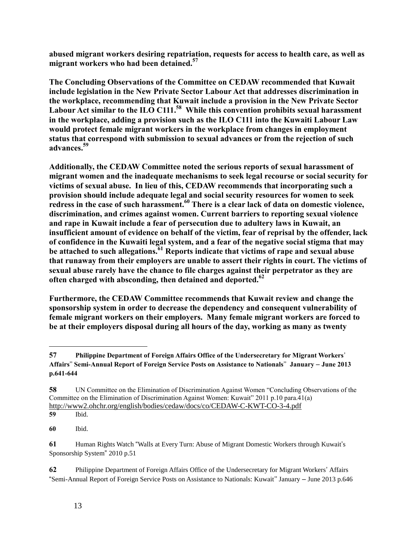**abused migrant workers desiring repatriation, requests for access to health care, as well as migrant workers who had been detained.<sup>57</sup>**

**The Concluding Observations of the Committee on CEDAW recommended that Kuwait include legislation in the New Private Sector Labour Act that addresses discrimination in the workplace, recommending that Kuwait include a provision in the New Private Sector Labour Act similar to the ILO C111.<sup>58</sup> While this convention prohibits sexual harassment in the workplace, adding a provision such as the ILO C111 into the Kuwaiti Labour Law would protect female migrant workers in the workplace from changes in employment status that correspond with submission to sexual advances or from the rejection of such advances.<sup>59</sup>**

**Additionally, the CEDAW Committee noted the serious reports of sexual harassment of migrant women and the inadequate mechanisms to seek legal recourse or social security for victims of sexual abuse. In lieu of this, CEDAW recommends that incorporating such a provision should include adequate legal and social security resources for women to seek redress in the case of such harassment.<sup>60</sup> There is a clear lack of data on domestic violence, discrimination, and crimes against women. Current barriers to reporting sexual violence and rape in Kuwait include a fear of persecution due to adultery laws in Kuwait, an insufficient amount of evidence on behalf of the victim, fear of reprisal by the offender, lack of confidence in the Kuwaiti legal system, and a fear of the negative social stigma that may be attached to such allegations.<sup>61</sup> Reports indicate that victims of rape and sexual abuse that runaway from their employers are unable to assert their rights in court. The victims of sexual abuse rarely have the chance to file charges against their perpetrator as they are often charged with absconding, then detained and deported.<sup>62</sup>**

**Furthermore, the CEDAW Committee recommends that Kuwait review and change the sponsorship system in order to decrease the dependency and consequent vulnerability of female migrant workers on their employers. Many female migrant workers are forced to be at their employers disposal during all hours of the day, working as many as twenty** 

**59** Ibid.

 $\overline{a}$ 

**60** Ibid.

**61** Human Rights Watch "Walls at Every Turn: Abuse of Migrant Domestic Workers through Kuwait's Sponsorship System" 2010 p.51

**62** Philippine Department of Foreign Affairs Office of the Undersecretary for Migrant Workers' Affairs "Semi-Annual Report of Foreign Service Posts on Assistance to Nationals: Kuwait'' January – June 2013 p.646

**<sup>57</sup> Philippine Department of Foreign Affairs Office of the Undersecretary for Migrant Workers**' **Affairs**'' **Semi-Annual Report of Foreign Service Posts on Assistance to Nationals**'' **January** – **June 2013 p.641-644** 

**<sup>58</sup>** UN Committee on the Elimination of Discrimination Against Women "Concluding Observations of the Committee on the Elimination of Discrimination Against Women: Kuwait" 2011 p.10 para.41(a) [http://www2.ohchr.org/english/bodies/cedaw/docs/co/CEDAW-C-KWT-CO-3-4.pdf](http://www2.ohchr.org/english/bodies/cedaw/docs/co/cedaw-c-kwt-co-3-4.pdf)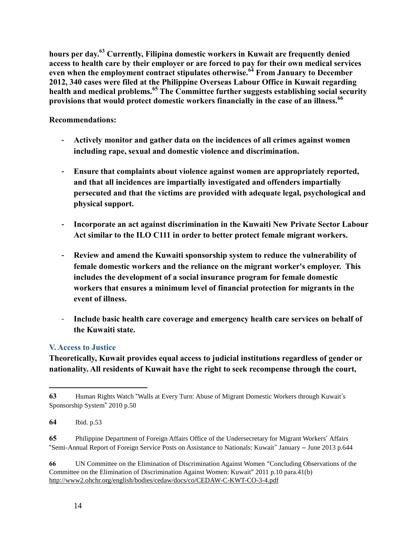**hours per day.<sup>63</sup> Currently, Filipina domestic workers in Kuwait are frequently denied access to health care by their employer or are forced to pay for their own medical services even when the employment contract stipulates otherwise.<sup>64</sup> From January to December 2012, 340 cases were filed at the Philippine Overseas Labour Office in Kuwait regarding health and medical problems.<sup>65</sup> The Committee further suggests establishing social security provisions that would protect domestic workers financially in the case of an illness.<sup>66</sup>**

## **Recommendations:**

- **Actively monitor and gather data on the incidences of all crimes against women including rape, sexual and domestic violence and discrimination.**
- **Ensure that complaints about violence against women are appropriately reported, and that all incidences are impartially investigated and offenders impartially persecuted and that the victims are provided with adequate legal, psychological and physical support.**
- **Incorporate an act against discrimination in the Kuwaiti New Private Sector Labour Act similar to the ILO C111 in order to better protect female migrant workers.**
- **Review and amend the Kuwaiti sponsorship system to reduce the vulnerability of female domestic workers and the reliance on the migrant worker's employer. This includes the development of a social insurance program for female domestic workers that ensures a minimum level of financial protection for migrants in the event of illness.**
- **Include basic health care coverage and emergency health care services on behalf of the Kuwaiti state.**

## **V. Access to Justice**

**Theoretically, Kuwait provides equal access to judicial institutions regardless of gender or nationality. All residents of Kuwait have the right to seek recompense through the court,** 

**<sup>63</sup>** Human Rights Watch "Walls at Every Turn: Abuse of Migrant Domestic Workers through Kuwait's Sponsorship System" 2010 p.50

**<sup>64</sup>** Ibid. p.53

**<sup>65</sup>** Philippine Department of Foreign Affairs Office of the Undersecretary for Migrant Workers' Affairs "Semi-Annual Report of Foreign Service Posts on Assistance to Nationals: Kuwait'' January – June 2013 p.644

**<sup>66</sup>** UN Committee on the Elimination of Discrimination Against Women "Concluding Observations of the Committee on the Elimination of Discrimination Against Women: Kuwait" 2011 p.10 para.41(b) [http://www2.ohchr.org/english/bodies/cedaw/docs/co/CEDAW-C-KWT-CO-3-4.pdf](http://www2.ohchr.org/english/bodies/cedaw/docs/co/cedaw-c-kwt-co-3-4.pdf)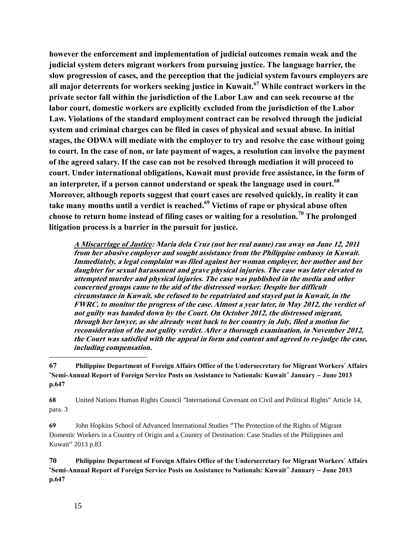**however the enforcement and implementation of judicial outcomes remain weak and the judicial system deters migrant workers from pursuing justice. The language barrier, the slow progression of cases, and the perception that the judicial system favours employers are all major deterrents for workers seeking justice in Kuwait.<sup>67</sup> While contract workers in the private sector fall within the jurisdiction of the Labor Law and can seek recourse at the labor court, domestic workers are explicitly excluded from the jurisdiction of the Labor Law. Violations of the standard employment contract can be resolved through the judicial system and criminal charges can be filed in cases of physical and sexual abuse. In initial stages, the ODWA will mediate with the employer to try and resolve the case without going to court. In the case of non, or late payment of wages, a resolution can involve the payment of the agreed salary. If the case can not be resolved through mediation it will proceed to court. Under international obligations, Kuwait must provide free assistance, in the form of an interpreter, if a person cannot understand or speak the language used in court.<sup>68</sup> Moreover, although reports suggest that court cases are resolved quickly, in reality it can take many months until a verdict is reached.<sup>69</sup> Victims of rape or physical abuse often choose to return home instead of filing cases or waiting for a resolution.<sup>70</sup> The prolonged litigation process is a barrier in the pursuit for justice.** 

**A Miscarriage of Justice: Maria dela Cruz (not her real name) ran away on June 12, 2011 from her abusive employer and sought assistance from the Philippine embassy in Kuwait. Immediately, a legal complaint was filed against her woman employer, her mother and her daughter for sexual harassment and grave physical injuries. The case was later elevated to attempted murder and physical injuries. The case was published in the media and other concerned groups came to the aid of the distressed worker. Despite her difficult circumstance in Kuwait, she refused to be repatriated and stayed put in Kuwait, in the FWRC, to monitor the progress of the case. Almost a year later, in May 2012, the verdict of not guilty was handed down by the Court. On October 2012, the distressed migrant, through her lawyer, as she already went back to her country in July, filed a motion for reconsideration of the not gulity verdict. After a thorough examination, in November 2012, the Court was satisfied with the appeal in form and content and agreed to re-judge the case, including compensation.** 

**67 Philippine Department of Foreign Affairs Office of the Undersecretary for Migrant Workers**' **Affairs**  "**Semi-Annual Report of Foreign Service Posts on Assistance to Nationals: Kuwait**'' **January** – **June 2013 p.647**

**68** United Nations Human Rights Council "International Covenant on Civil and Political Rights" Article 14, para. 3

**69** John Hopkins School of Advanced International Studies ''The Protection of the Rights of Migrant Domestic Workers in a Country of Origin and a Country of Destination: Case Studies of the Philippines and Kuwait'' 2013 p.83

**70 Philippine Department of Foreign Affairs Office of the Undersecretary for Migrant Workers**' **Affairs**  "**Semi-Annual Report of Foreign Service Posts on Assistance to Nationals: Kuwait**'' **January** – **June 2013 p.647**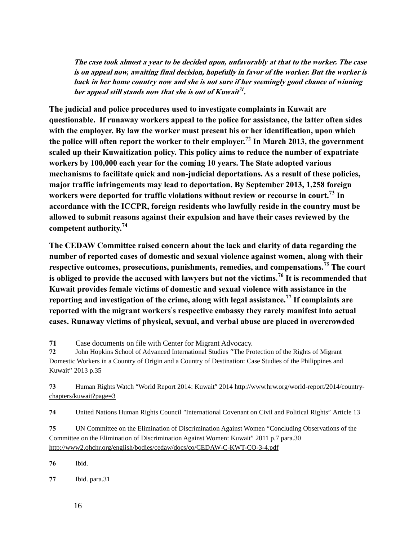**The case took almost a year to be decided upon, unfavorably at that to the worker. The case is on appeal now, awaiting final decision, hopefully in favor of the worker. But the worker is back in her home country now and she is not sure if her seemingly good chance of winning her appeal still stands now that she is out of Kuwait 71 .**

**The judicial and police procedures used to investigate complaints in Kuwait are questionable. If runaway workers appeal to the police for assistance, the latter often sides with the employer. By law the worker must present his or her identification, upon which the police will often report the worker to their employer.<sup>72</sup> In March 2013, the government scaled up their Kuwaitization policy. This policy aims to reduce the number of expatriate workers by 100,000 each year for the coming 10 years. The State adopted various mechanisms to facilitate quick and non-judicial deportations. As a result of these policies, major traffic infringements may lead to deportation. By September 2013, 1,258 foreign workers were deported for traffic violations without review or recourse in court.<sup>73</sup> In accordance with the ICCPR, foreign residents who lawfully reside in the country must be allowed to submit reasons against their expulsion and have their cases reviewed by the competent authority.<sup>74</sup>**

**The CEDAW Committee raised concern about the lack and clarity of data regarding the number of reported cases of domestic and sexual violence against women, along with their respective outcomes, prosecutions, punishments, remedies, and compensations.<sup>75</sup> The court is obliged to provide the accused with lawyers but not the victims.<sup>76</sup> It is recommended that Kuwait provides female victims of domestic and sexual violence with assistance in the reporting and investigation of the crime, along with legal assistance.<sup>77</sup> If complaints are reported with the migrant workers**'**s respective embassy they rarely manifest into actual cases. Runaway victims of physical, sexual, and verbal abuse are placed in overcrowded** 

**76** Ibid.

 $\overline{a}$ 

**77** Ibid. para.31

**<sup>71</sup>** Case documents on file with Center for Migrant Advocacy.

**<sup>72</sup>** John Hopkins School of Advanced International Studies ''The Protection of the Rights of Migrant Domestic Workers in a Country of Origin and a Country of Destination: Case Studies of the Philippines and Kuwait'' 2013 p.35

**<sup>73</sup>** Human Rights Watch "World Report 2014: Kuwait" 201[4 http://www.hrw.org/world-report/2014/country](http://www.hrw.org/world-report/2014/country-chapters/kuwait?page=3)[chapters/kuwait?page=3](http://www.hrw.org/world-report/2014/country-chapters/kuwait?page=3)

**<sup>74</sup>** United Nations Human Rights Council "International Covenant on Civil and Political Rights" Article 13

**<sup>75</sup>** UN Committee on the Elimination of Discrimination Against Women "Concluding Observations of the Committee on the Elimination of Discrimination Against Women: Kuwait" 2011 p.7 para.30 [http://www2.ohchr.org/english/bodies/cedaw/docs/co/CEDAW-C-KWT-CO-3-4.pdf](http://www2.ohchr.org/english/bodies/cedaw/docs/co/cedaw-c-kwt-co-3-4.pdf)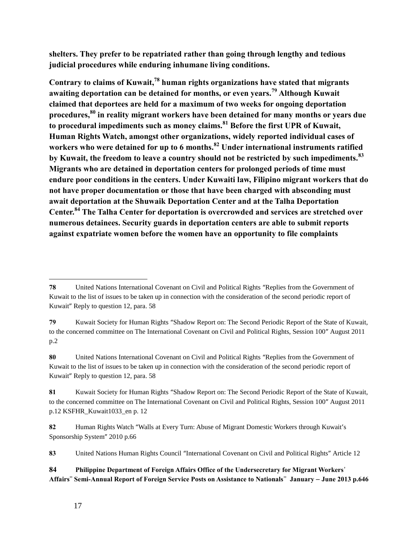**shelters. They prefer to be repatriated rather than going through lengthy and tedious judicial procedures while enduring inhumane living conditions.**

**Contrary to claims of Kuwait,<sup>78</sup> human rights organizations have stated that migrants awaiting deportation can be detained for months, or even years.<sup>79</sup> Although Kuwait claimed that deportees are held for a maximum of two weeks for ongoing deportation procedures,<sup>80</sup> in reality migrant workers have been detained for many months or years due to procedural impediments such as money claims.<sup>81</sup> Before the first UPR of Kuwait, Human Rights Watch, amongst other organizations, widely reported individual cases of workers who were detained for up to 6 months.<sup>82</sup> Under international instruments ratified by Kuwait, the freedom to leave a country should not be restricted by such impediments.<sup>83</sup> Migrants who are detained in deportation centers for prolonged periods of time must endure poor conditions in the centers. Under Kuwaiti law, Filipino migrant workers that do not have proper documentation or those that have been charged with absconding must await deportation at the Shuwaik Deportation Center and at the Talha Deportation Center.<sup>84</sup> The Talha Center for deportation is overcrowded and services are stretched over numerous detainees. Security guards in deportation centers are able to submit reports against expatriate women before the women have an opportunity to file complaints** 

**83** United Nations Human Rights Council "International Covenant on Civil and Political Rights" Article 12

**84 Philippine Department of Foreign Affairs Office of the Undersecretary for Migrant Workers**' **Affairs**'' **Semi-Annual Report of Foreign Service Posts on Assistance to Nationals**'' **January** – **June 2013 p.646**

**<sup>78</sup>** United Nations International Covenant on Civil and Political Rights "Replies from the Government of Kuwait to the list of issues to be taken up in connection with the consideration of the second periodic report of Kuwait" Reply to question 12, para. 58

**<sup>79</sup>** Kuwait Society for Human Rights "Shadow Report on: The Second Periodic Report of the State of Kuwait, to the concerned committee on The International Covenant on Civil and Political Rights, Session 100" August 2011 p.2

**<sup>80</sup>** United Nations International Covenant on Civil and Political Rights "Replies from the Government of Kuwait to the list of issues to be taken up in connection with the consideration of the second periodic report of Kuwait" Reply to question 12, para. 58

**<sup>81</sup>** Kuwait Society for Human Rights "Shadow Report on: The Second Periodic Report of the State of Kuwait, to the concerned committee on The International Covenant on Civil and Political Rights, Session 100" August 2011 p.12 KSFHR\_Kuwait1033\_en p. 12

**<sup>82</sup>** Human Rights Watch "Walls at Every Turn: Abuse of Migrant Domestic Workers through Kuwait's Sponsorship System" 2010 p.66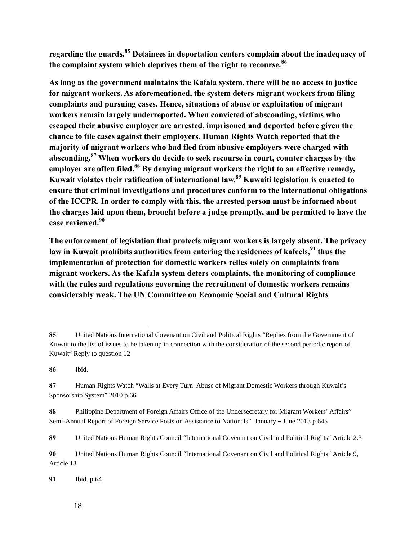**regarding the guards.<sup>85</sup> Detainees in deportation centers complain about the inadequacy of the complaint system which deprives them of the right to recourse.<sup>86</sup>**

**As long as the government maintains the Kafala system, there will be no access to justice for migrant workers. As aforementioned, the system deters migrant workers from filing complaints and pursuing cases. Hence, situations of abuse or exploitation of migrant workers remain largely underreported. When convicted of absconding, victims who escaped their abusive employer are arrested, imprisoned and deported before given the chance to file cases against their employers. Human Rights Watch reported that the majority of migrant workers who had fled from abusive employers were charged with absconding.<sup>87</sup> When workers do decide to seek recourse in court, counter charges by the employer are often filed.<sup>88</sup> By denying migrant workers the right to an effective remedy, Kuwait violates their ratification of international law.<sup>89</sup> Kuwaiti legislation is enacted to ensure that criminal investigations and procedures conform to the international obligations of the ICCPR. In order to comply with this, the arrested person must be informed about the charges laid upon them, brought before a judge promptly, and be permitted to have the case reviewed.<sup>90</sup>**

**The enforcement of legislation that protects migrant workers is largely absent. The privacy law in Kuwait prohibits authorities from entering the residences of kafeels,<sup>91</sup> thus the implementation of protection for domestic workers relies solely on complaints from migrant workers. As the Kafala system deters complaints, the monitoring of compliance with the rules and regulations governing the recruitment of domestic workers remains considerably weak. The UN Committee on Economic Social and Cultural Rights** 

 $\overline{a}$ 

**91** Ibid. p.64

**<sup>85</sup>** United Nations International Covenant on Civil and Political Rights "Replies from the Government of Kuwait to the list of issues to be taken up in connection with the consideration of the second periodic report of Kuwait" Reply to question 12

**<sup>86</sup>** Ibid.

**<sup>87</sup>** Human Rights Watch "Walls at Every Turn: Abuse of Migrant Domestic Workers through Kuwait's Sponsorship System" 2010 p.66

**<sup>88</sup>** Philippine Department of Foreign Affairs Office of the Undersecretary for Migrant Workers' Affairs'' Semi-Annual Report of Foreign Service Posts on Assistance to Nationals'' January – June 2013 p.645

**<sup>89</sup>** United Nations Human Rights Council "International Covenant on Civil and Political Rights" Article 2.3

**<sup>90</sup>** United Nations Human Rights Council "International Covenant on Civil and Political Rights" Article 9, Article 13